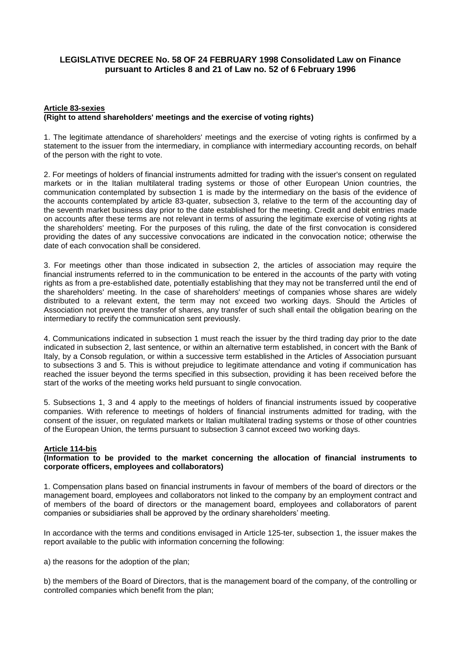# **LEGISLATIVE DECREE No. 58 OF 24 FEBRUARY 1998 Consolidated Law on Finance pursuant to Articles 8 and 21 of Law no. 52 of 6 February 1996**

### **Article 83-sexies (Right to attend shareholders' meetings and the exercise of voting rights)**

1. The legitimate attendance of shareholders' meetings and the exercise of voting rights is confirmed by a statement to the issuer from the intermediary, in compliance with intermediary accounting records, on behalf of the person with the right to vote.

2. For meetings of holders of financial instruments admitted for trading with the issuer's consent on regulated markets or in the Italian multilateral trading systems or those of other European Union countries, the communication contemplated by subsection 1 is made by the intermediary on the basis of the evidence of the accounts contemplated by article 83-quater, subsection 3, relative to the term of the accounting day of the seventh market business day prior to the date established for the meeting. Credit and debit entries made on accounts after these terms are not relevant in terms of assuring the legitimate exercise of voting rights at the shareholders' meeting. For the purposes of this ruling, the date of the first convocation is considered providing the dates of any successive convocations are indicated in the convocation notice; otherwise the date of each convocation shall be considered.

3. For meetings other than those indicated in subsection 2, the articles of association may require the financial instruments referred to in the communication to be entered in the accounts of the party with voting rights as from a pre-established date, potentially establishing that they may not be transferred until the end of the shareholders' meeting. In the case of shareholders' meetings of companies whose shares are widely distributed to a relevant extent, the term may not exceed two working days. Should the Articles of Association not prevent the transfer of shares, any transfer of such shall entail the obligation bearing on the intermediary to rectify the communication sent previously.

4. Communications indicated in subsection 1 must reach the issuer by the third trading day prior to the date indicated in subsection 2, last sentence, or within an alternative term established, in concert with the Bank of Italy, by a Consob regulation, or within a successive term established in the Articles of Association pursuant to subsections 3 and 5. This is without prejudice to legitimate attendance and voting if communication has reached the issuer beyond the terms specified in this subsection, providing it has been received before the start of the works of the meeting works held pursuant to single convocation.

5. Subsections 1, 3 and 4 apply to the meetings of holders of financial instruments issued by cooperative companies. With reference to meetings of holders of financial instruments admitted for trading, with the consent of the issuer, on regulated markets or Italian multilateral trading systems or those of other countries of the European Union, the terms pursuant to subsection 3 cannot exceed two working days.

# **Article 114-bis**

## **(Information to be provided to the market concerning the allocation of financial instruments to corporate officers, employees and collaborators)**

1. Compensation plans based on financial instruments in favour of members of the board of directors or the management board, employees and collaborators not linked to the company by an employment contract and of members of the board of directors or the management board, employees and collaborators of parent companies or subsidiaries shall be approved by the ordinary shareholders' meeting.

In accordance with the terms and conditions envisaged in Article 125-ter, subsection 1, the issuer makes the report available to the public with information concerning the following:

a) the reasons for the adoption of the plan;

b) the members of the Board of Directors, that is the management board of the company, of the controlling or controlled companies which benefit from the plan;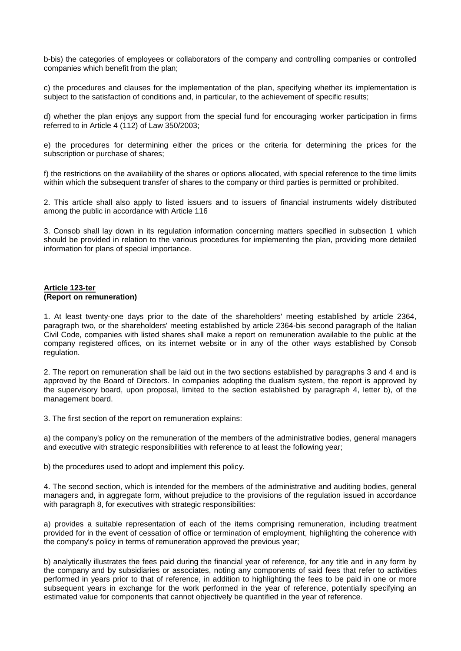b-bis) the categories of employees or collaborators of the company and controlling companies or controlled companies which benefit from the plan;

c) the procedures and clauses for the implementation of the plan, specifying whether its implementation is subject to the satisfaction of conditions and, in particular, to the achievement of specific results;

d) whether the plan enjoys any support from the special fund for encouraging worker participation in firms referred to in Article 4 (112) of Law 350/2003;

e) the procedures for determining either the prices or the criteria for determining the prices for the subscription or purchase of shares;

f) the restrictions on the availability of the shares or options allocated, with special reference to the time limits within which the subsequent transfer of shares to the company or third parties is permitted or prohibited.

2. This article shall also apply to listed issuers and to issuers of financial instruments widely distributed among the public in accordance with Article 116

3. Consob shall lay down in its regulation information concerning matters specified in subsection 1 which should be provided in relation to the various procedures for implementing the plan, providing more detailed information for plans of special importance.

## **Article 123-ter (Report on remuneration)**

1. At least twenty-one days prior to the date of the shareholders' meeting established by article 2364, paragraph two, or the shareholders' meeting established by article 2364-bis second paragraph of the Italian Civil Code, companies with listed shares shall make a report on remuneration available to the public at the company registered offices, on its internet website or in any of the other ways established by Consob regulation.

2. The report on remuneration shall be laid out in the two sections established by paragraphs 3 and 4 and is approved by the Board of Directors. In companies adopting the dualism system, the report is approved by the supervisory board, upon proposal, limited to the section established by paragraph 4, letter b), of the management board.

3. The first section of the report on remuneration explains:

a) the company's policy on the remuneration of the members of the administrative bodies, general managers and executive with strategic responsibilities with reference to at least the following year;

b) the procedures used to adopt and implement this policy.

4. The second section, which is intended for the members of the administrative and auditing bodies, general managers and, in aggregate form, without prejudice to the provisions of the regulation issued in accordance with paragraph 8, for executives with strategic responsibilities:

a) provides a suitable representation of each of the items comprising remuneration, including treatment provided for in the event of cessation of office or termination of employment, highlighting the coherence with the company's policy in terms of remuneration approved the previous year;

b) analytically illustrates the fees paid during the financial year of reference, for any title and in any form by the company and by subsidiaries or associates, noting any components of said fees that refer to activities performed in years prior to that of reference, in addition to highlighting the fees to be paid in one or more subsequent years in exchange for the work performed in the year of reference, potentially specifying an estimated value for components that cannot objectively be quantified in the year of reference.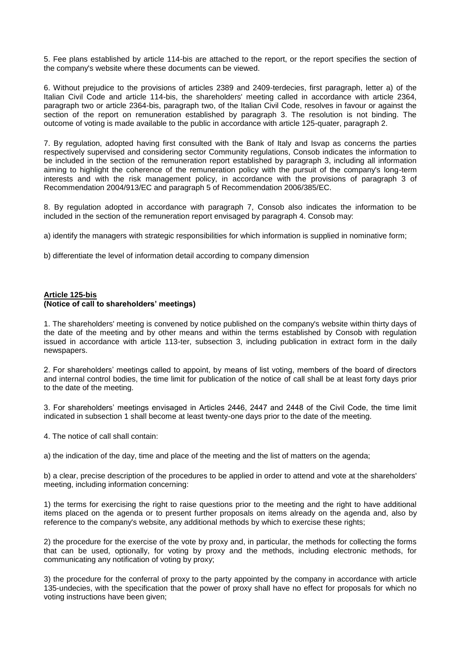5. Fee plans established by article 114-bis are attached to the report, or the report specifies the section of the company's website where these documents can be viewed.

6. Without prejudice to the provisions of articles 2389 and 2409-terdecies, first paragraph, letter a) of the Italian Civil Code and article 114-bis, the shareholders' meeting called in accordance with article 2364, paragraph two or article 2364-bis, paragraph two, of the Italian Civil Code, resolves in favour or against the section of the report on remuneration established by paragraph 3. The resolution is not binding. The outcome of voting is made available to the public in accordance with article 125-quater, paragraph 2.

7. By regulation, adopted having first consulted with the Bank of Italy and Isvap as concerns the parties respectively supervised and considering sector Community regulations, Consob indicates the information to be included in the section of the remuneration report established by paragraph 3, including all information aiming to highlight the coherence of the remuneration policy with the pursuit of the company's long-term interests and with the risk management policy, in accordance with the provisions of paragraph 3 of Recommendation 2004/913/EC and paragraph 5 of Recommendation 2006/385/EC.

8. By regulation adopted in accordance with paragraph 7, Consob also indicates the information to be included in the section of the remuneration report envisaged by paragraph 4. Consob may:

a) identify the managers with strategic responsibilities for which information is supplied in nominative form;

b) differentiate the level of information detail according to company dimension

### **Article 125-bis (Notice of call to shareholders' meetings)**

1. The shareholders' meeting is convened by notice published on the company's website within thirty days of the date of the meeting and by other means and within the terms established by Consob with regulation issued in accordance with article 113-ter, subsection 3, including publication in extract form in the daily newspapers.

2. For shareholders' meetings called to appoint, by means of list voting, members of the board of directors and internal control bodies, the time limit for publication of the notice of call shall be at least forty days prior to the date of the meeting.

3. For shareholders' meetings envisaged in Articles 2446, 2447 and 2448 of the Civil Code, the time limit indicated in subsection 1 shall become at least twenty-one days prior to the date of the meeting.

4. The notice of call shall contain:

a) the indication of the day, time and place of the meeting and the list of matters on the agenda;

b) a clear, precise description of the procedures to be applied in order to attend and vote at the shareholders' meeting, including information concerning:

1) the terms for exercising the right to raise questions prior to the meeting and the right to have additional items placed on the agenda or to present further proposals on items already on the agenda and, also by reference to the company's website, any additional methods by which to exercise these rights;

2) the procedure for the exercise of the vote by proxy and, in particular, the methods for collecting the forms that can be used, optionally, for voting by proxy and the methods, including electronic methods, for communicating any notification of voting by proxy;

3) the procedure for the conferral of proxy to the party appointed by the company in accordance with article 135-undecies, with the specification that the power of proxy shall have no effect for proposals for which no voting instructions have been given;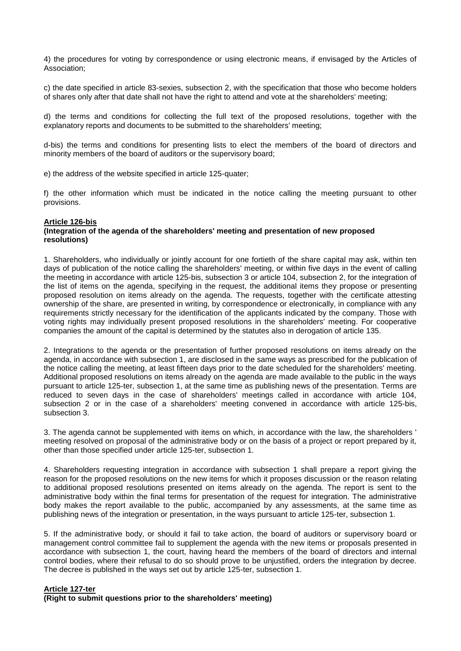4) the procedures for voting by correspondence or using electronic means, if envisaged by the Articles of Association;

c) the date specified in article 83-sexies, subsection 2, with the specification that those who become holders of shares only after that date shall not have the right to attend and vote at the shareholders' meeting;

d) the terms and conditions for collecting the full text of the proposed resolutions, together with the explanatory reports and documents to be submitted to the shareholders' meeting;

d-bis) the terms and conditions for presenting lists to elect the members of the board of directors and minority members of the board of auditors or the supervisory board;

e) the address of the website specified in article 125-quater;

f) the other information which must be indicated in the notice calling the meeting pursuant to other provisions.

### **Article 126-bis**

### **(Integration of the agenda of the shareholders' meeting and presentation of new proposed resolutions)**

1. Shareholders, who individually or jointly account for one fortieth of the share capital may ask, within ten days of publication of the notice calling the shareholders' meeting, or within five days in the event of calling the meeting in accordance with article 125-bis, subsection 3 or article 104, subsection 2, for the integration of the list of items on the agenda, specifying in the request, the additional items they propose or presenting proposed resolution on items already on the agenda. The requests, together with the certificate attesting ownership of the share, are presented in writing, by correspondence or electronically, in compliance with any requirements strictly necessary for the identification of the applicants indicated by the company. Those with voting rights may individually present proposed resolutions in the shareholders' meeting. For cooperative companies the amount of the capital is determined by the statutes also in derogation of article 135.

2. Integrations to the agenda or the presentation of further proposed resolutions on items already on the agenda, in accordance with subsection 1, are disclosed in the same ways as prescribed for the publication of the notice calling the meeting, at least fifteen days prior to the date scheduled for the shareholders' meeting. Additional proposed resolutions on items already on the agenda are made available to the public in the ways pursuant to article 125-ter, subsection 1, at the same time as publishing news of the presentation. Terms are reduced to seven days in the case of shareholders' meetings called in accordance with article 104, subsection 2 or in the case of a shareholders' meeting convened in accordance with article 125-bis, subsection 3.

3. The agenda cannot be supplemented with items on which, in accordance with the law, the shareholders ' meeting resolved on proposal of the administrative body or on the basis of a project or report prepared by it, other than those specified under article 125-ter, subsection 1.

4. Shareholders requesting integration in accordance with subsection 1 shall prepare a report giving the reason for the proposed resolutions on the new items for which it proposes discussion or the reason relating to additional proposed resolutions presented on items already on the agenda. The report is sent to the administrative body within the final terms for presentation of the request for integration. The administrative body makes the report available to the public, accompanied by any assessments, at the same time as publishing news of the integration or presentation, in the ways pursuant to article 125-ter, subsection 1.

5. If the administrative body, or should it fail to take action, the board of auditors or supervisory board or management control committee fail to supplement the agenda with the new items or proposals presented in accordance with subsection 1, the court, having heard the members of the board of directors and internal control bodies, where their refusal to do so should prove to be unjustified, orders the integration by decree. The decree is published in the ways set out by article 125-ter, subsection 1.

### **Article 127-ter**

**(Right to submit questions prior to the shareholders' meeting)**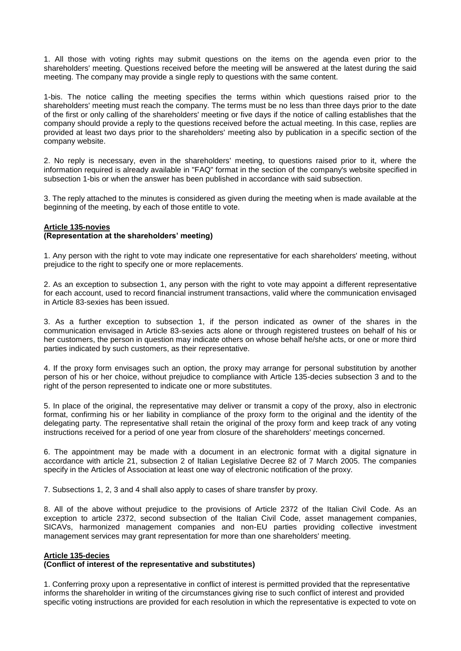1. All those with voting rights may submit questions on the items on the agenda even prior to the shareholders' meeting. Questions received before the meeting will be answered at the latest during the said meeting. The company may provide a single reply to questions with the same content.

1-bis. The notice calling the meeting specifies the terms within which questions raised prior to the shareholders' meeting must reach the company. The terms must be no less than three days prior to the date of the first or only calling of the shareholders' meeting or five days if the notice of calling establishes that the company should provide a reply to the questions received before the actual meeting. In this case, replies are provided at least two days prior to the shareholders' meeting also by publication in a specific section of the company website.

2. No reply is necessary, even in the shareholders' meeting, to questions raised prior to it, where the information required is already available in "FAQ" format in the section of the company's website specified in subsection 1-bis or when the answer has been published in accordance with said subsection.

3. The reply attached to the minutes is considered as given during the meeting when is made available at the beginning of the meeting, by each of those entitle to vote.

#### **Article 135-novies (Representation at the shareholders' meeting)**

1. Any person with the right to vote may indicate one representative for each shareholders' meeting, without prejudice to the right to specify one or more replacements.

2. As an exception to subsection 1, any person with the right to vote may appoint a different representative for each account, used to record financial instrument transactions, valid where the communication envisaged in Article 83-sexies has been issued.

3. As a further exception to subsection 1, if the person indicated as owner of the shares in the communication envisaged in Article 83-sexies acts alone or through registered trustees on behalf of his or her customers, the person in question may indicate others on whose behalf he/she acts, or one or more third parties indicated by such customers, as their representative.

4. If the proxy form envisages such an option, the proxy may arrange for personal substitution by another person of his or her choice, without prejudice to compliance with Article 135-decies subsection 3 and to the right of the person represented to indicate one or more substitutes.

5. In place of the original, the representative may deliver or transmit a copy of the proxy, also in electronic format, confirming his or her liability in compliance of the proxy form to the original and the identity of the delegating party. The representative shall retain the original of the proxy form and keep track of any voting instructions received for a period of one year from closure of the shareholders' meetings concerned.

6. The appointment may be made with a document in an electronic format with a digital signature in accordance with article 21, subsection 2 of Italian Legislative Decree 82 of 7 March 2005. The companies specify in the Articles of Association at least one way of electronic notification of the proxy.

7. Subsections 1, 2, 3 and 4 shall also apply to cases of share transfer by proxy.

8. All of the above without prejudice to the provisions of Article 2372 of the Italian Civil Code. As an exception to article 2372, second subsection of the Italian Civil Code, asset management companies, SICAVs, harmonized management companies and non-EU parties providing collective investment management services may grant representation for more than one shareholders' meeting.

# **Article 135-decies**

# **(Conflict of interest of the representative and substitutes)**

1. Conferring proxy upon a representative in conflict of interest is permitted provided that the representative informs the shareholder in writing of the circumstances giving rise to such conflict of interest and provided specific voting instructions are provided for each resolution in which the representative is expected to vote on